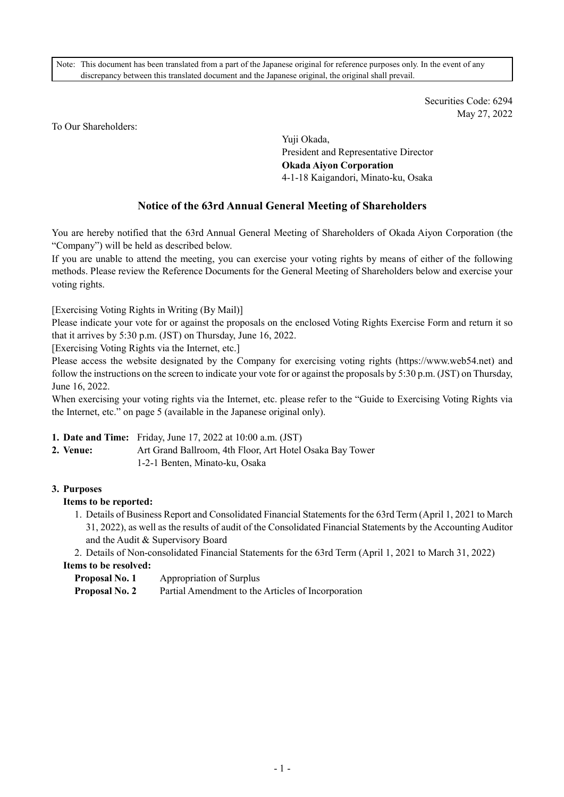Note: This document has been translated from a part of the Japanese original for reference purposes only. In the event of any discrepancy between this translated document and the Japanese original, the original shall prevail.

> Securities Code: 6294 May 27, 2022

To Our Shareholders:

Yuji Okada, President and Representative Director **Okada Aiyon Corporation** 4-1-18 Kaigandori, Minato-ku, Osaka

# **Notice of the 63rd Annual General Meeting of Shareholders**

You are hereby notified that the 63rd Annual General Meeting of Shareholders of Okada Aiyon Corporation (the "Company") will be held as described below.

If you are unable to attend the meeting, you can exercise your voting rights by means of either of the following methods. Please review the Reference Documents for the General Meeting of Shareholders below and exercise your voting rights.

[Exercising Voting Rights in Writing (By Mail)]

Please indicate your vote for or against the proposals on the enclosed Voting Rights Exercise Form and return it so that it arrives by 5:30 p.m. (JST) on Thursday, June 16, 2022.

[Exercising Voting Rights via the Internet, etc.]

Please access the website designated by the Company for exercising voting rights (https://www.web54.net) and follow the instructions on the screen to indicate your vote for or against the proposals by 5:30 p.m. (JST) on Thursday, June 16, 2022.

When exercising your voting rights via the Internet, etc. please refer to the "Guide to Exercising Voting Rights via the Internet, etc." on page 5 (available in the Japanese original only).

- **1. Date and Time:** Friday, June 17, 2022 at 10:00 a.m. (JST)
- **2. Venue:** Art Grand Ballroom, 4th Floor, Art Hotel Osaka Bay Tower
	- 1-2-1 Benten, Minato-ku, Osaka

## **3. Purposes**

## **Items to be reported:**

- 1. Details of Business Report and Consolidated Financial Statements for the 63rd Term (April 1, 2021 to March 31, 2022), as well as the results of audit of the Consolidated Financial Statements by the Accounting Auditor and the Audit & Supervisory Board
- 2. Details of Non-consolidated Financial Statements for the 63rd Term (April 1, 2021 to March 31, 2022)

## **Items to be resolved:**

**Proposal No. 1** Appropriation of Surplus

**Proposal No. 2** Partial Amendment to the Articles of Incorporation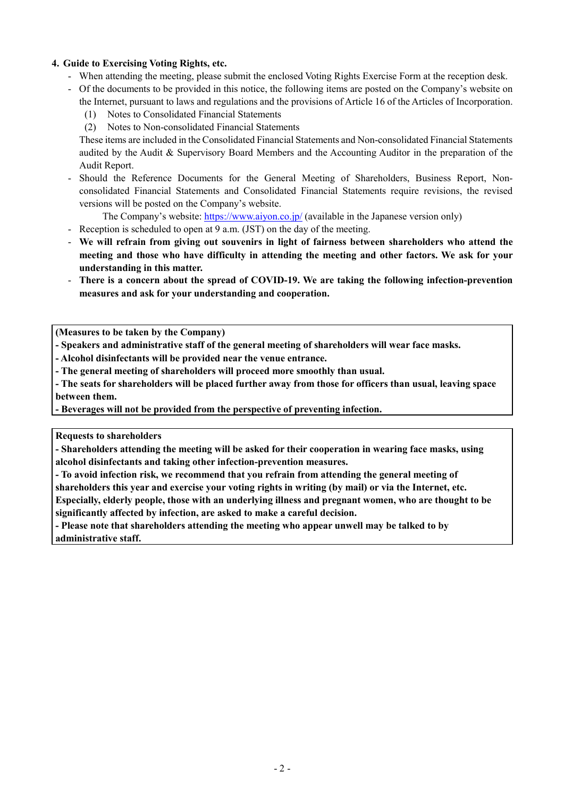#### **4. Guide to Exercising Voting Rights, etc.**

- When attending the meeting, please submit the enclosed Voting Rights Exercise Form at the reception desk.
- Of the documents to be provided in this notice, the following items are posted on the Company's website on the Internet, pursuant to laws and regulations and the provisions of Article 16 of the Articles of Incorporation.
	- (1) Notes to Consolidated Financial Statements
	- (2) Notes to Non-consolidated Financial Statements

These items are included in the Consolidated Financial Statements and Non-consolidated Financial Statements audited by the Audit & Supervisory Board Members and the Accounting Auditor in the preparation of the Audit Report.

- Should the Reference Documents for the General Meeting of Shareholders, Business Report, Nonconsolidated Financial Statements and Consolidated Financial Statements require revisions, the revised versions will be posted on the Company's website.

The Company's website:<https://www.aiyon.co.jp/> (available in the Japanese version only)

- Reception is scheduled to open at 9 a.m. (JST) on the day of the meeting.
- **We will refrain from giving out souvenirs in light of fairness between shareholders who attend the meeting and those who have difficulty in attending the meeting and other factors. We ask for your understanding in this matter.**
- **There is a concern about the spread of COVID-19. We are taking the following infection-prevention measures and ask for your understanding and cooperation.**

**(Measures to be taken by the Company)**

- **- Speakers and administrative staff of the general meeting of shareholders will wear face masks.**
- **- Alcohol disinfectants will be provided near the venue entrance.**

**- The general meeting of shareholders will proceed more smoothly than usual.**

**- The seats for shareholders will be placed further away from those for officers than usual, leaving space between them.**

**- Beverages will not be provided from the perspective of preventing infection.**

**Requests to shareholders**

**- Shareholders attending the meeting will be asked for their cooperation in wearing face masks, using alcohol disinfectants and taking other infection-prevention measures.**

- **- To avoid infection risk, we recommend that you refrain from attending the general meeting of**
- **shareholders this year and exercise your voting rights in writing (by mail) or via the Internet, etc.**

**Especially, elderly people, those with an underlying illness and pregnant women, who are thought to be significantly affected by infection, are asked to make a careful decision.**

**- Please note that shareholders attending the meeting who appear unwell may be talked to by administrative staff.**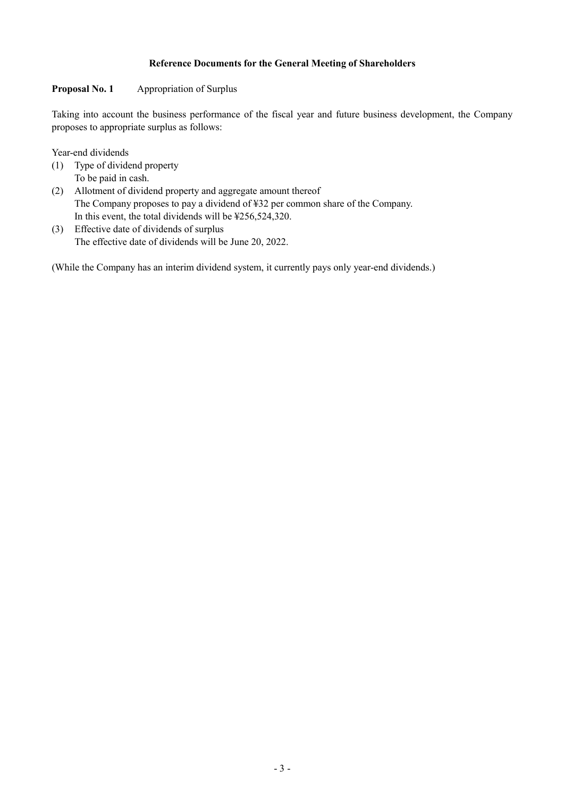### **Reference Documents for the General Meeting of Shareholders**

#### **Proposal No. 1** Appropriation of Surplus

Taking into account the business performance of the fiscal year and future business development, the Company proposes to appropriate surplus as follows:

Year-end dividends

- (1) Type of dividend property To be paid in cash.
- (2) Allotment of dividend property and aggregate amount thereof The Company proposes to pay a dividend of ¥32 per common share of the Company. In this event, the total dividends will be ¥256,524,320.
- (3) Effective date of dividends of surplus The effective date of dividends will be June 20, 2022.

(While the Company has an interim dividend system, it currently pays only year-end dividends.)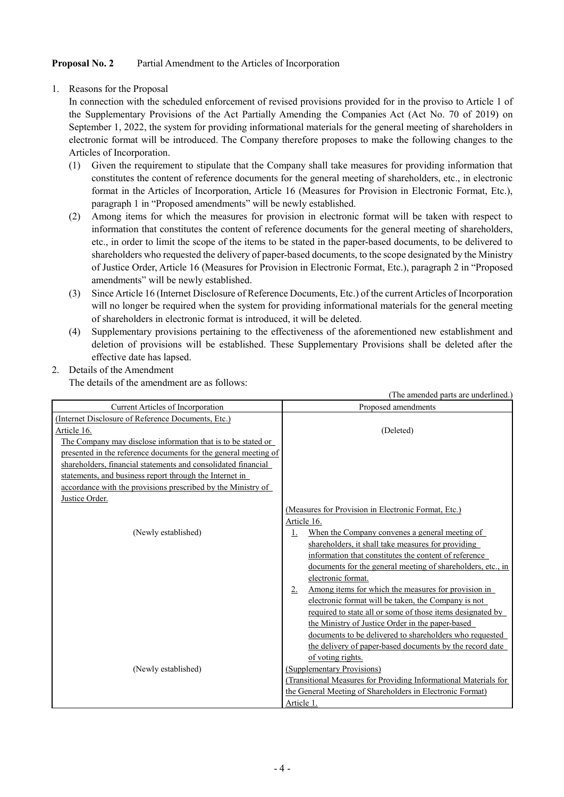## **Proposal No. 2** Partial Amendment to the Articles of Incorporation

1. Reasons for the Proposal

In connection with the scheduled enforcement of revised provisions provided for in the proviso to Article 1 of the Supplementary Provisions of the Act Partially Amending the Companies Act (Act No. 70 of 2019) on September 1, 2022, the system for providing informational materials for the general meeting of shareholders in electronic format will be introduced. The Company therefore proposes to make the following changes to the Articles of Incorporation.

- (1) Given the requirement to stipulate that the Company shall take measures for providing information that constitutes the content of reference documents for the general meeting of shareholders, etc., in electronic format in the Articles of Incorporation, Article 16 (Measures for Provision in Electronic Format, Etc.), paragraph 1 in "Proposed amendments" will be newly established.
- (2) Among items for which the measures for provision in electronic format will be taken with respect to information that constitutes the content of reference documents for the general meeting of shareholders, etc., in order to limit the scope of the items to be stated in the paper-based documents, to be delivered to shareholders who requested the delivery of paper-based documents, to the scope designated by the Ministry of Justice Order, Article 16 (Measures for Provision in Electronic Format, Etc.), paragraph 2 in "Proposed amendments" will be newly established.
- (3) Since Article 16 (Internet Disclosure of Reference Documents, Etc.) of the current Articles of Incorporation will no longer be required when the system for providing informational materials for the general meeting of shareholders in electronic format is introduced, it will be deleted.
- (4) Supplementary provisions pertaining to the effectiveness of the aforementioned new establishment and deletion of provisions will be established. These Supplementary Provisions shall be deleted after the effective date has lapsed.

(The amended parts are underlined.)

2. Details of the Amendment The details of the amendment are as follows:

|                                                                 | The amended parts are undermied.                                 |  |
|-----------------------------------------------------------------|------------------------------------------------------------------|--|
| <b>Current Articles of Incorporation</b>                        | Proposed amendments                                              |  |
| (Internet Disclosure of Reference Documents, Etc.)              |                                                                  |  |
| Article 16.                                                     | (Deleted)                                                        |  |
| The Company may disclose information that is to be stated or    |                                                                  |  |
| presented in the reference documents for the general meeting of |                                                                  |  |
| shareholders, financial statements and consolidated financial   |                                                                  |  |
| statements, and business report through the Internet in         |                                                                  |  |
| accordance with the provisions prescribed by the Ministry of    |                                                                  |  |
| Justice Order.                                                  |                                                                  |  |
|                                                                 | (Measures for Provision in Electronic Format, Etc.)              |  |
|                                                                 | Article 16.                                                      |  |
| (Newly established)                                             | When the Company convenes a general meeting of<br>1.             |  |
|                                                                 | shareholders, it shall take measures for providing               |  |
|                                                                 | information that constitutes the content of reference            |  |
|                                                                 | documents for the general meeting of shareholders, etc., in      |  |
|                                                                 | electronic format.                                               |  |
|                                                                 | Among items for which the measures for provision in<br>2.        |  |
|                                                                 | electronic format will be taken, the Company is not              |  |
|                                                                 | required to state all or some of those items designated by       |  |
|                                                                 | the Ministry of Justice Order in the paper-based                 |  |
|                                                                 | documents to be delivered to shareholders who requested          |  |
|                                                                 | the delivery of paper-based documents by the record date         |  |
|                                                                 | of voting rights.                                                |  |
| (Newly established)                                             | (Supplementary Provisions)                                       |  |
|                                                                 | (Transitional Measures for Providing Informational Materials for |  |
|                                                                 | the General Meeting of Shareholders in Electronic Format)        |  |
|                                                                 | Article 1.                                                       |  |
|                                                                 |                                                                  |  |